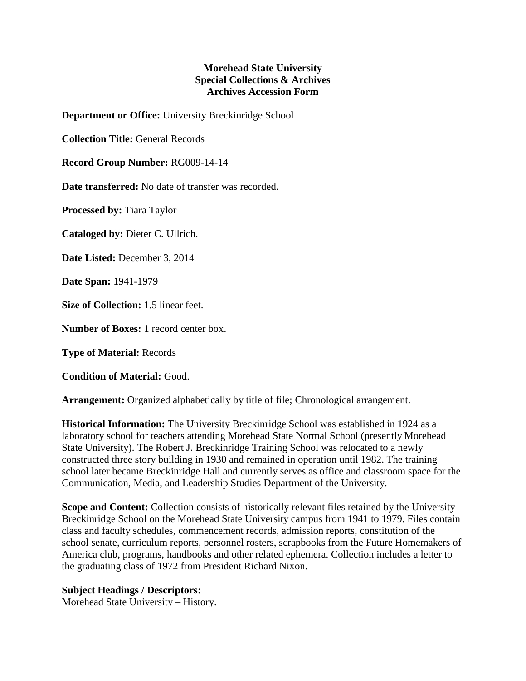## **Morehead State University Special Collections & Archives Archives Accession Form**

**Department or Office:** University Breckinridge School

**Collection Title:** General Records

**Record Group Number:** RG009-14-14

**Date transferred:** No date of transfer was recorded.

**Processed by:** Tiara Taylor

**Cataloged by:** Dieter C. Ullrich.

**Date Listed:** December 3, 2014

**Date Span:** 1941-1979

**Size of Collection:** 1.5 linear feet.

**Number of Boxes:** 1 record center box.

**Type of Material:** Records

**Condition of Material:** Good.

**Arrangement:** Organized alphabetically by title of file; Chronological arrangement.

**Historical Information:** The University Breckinridge School was established in 1924 as a laboratory school for teachers attending Morehead State Normal School (presently Morehead State University). The Robert J. Breckinridge Training School was relocated to a newly constructed three story building in 1930 and remained in operation until 1982. The training school later became Breckinridge Hall and currently serves as office and classroom space for the Communication, Media, and Leadership Studies Department of the University.

**Scope and Content:** Collection consists of historically relevant files retained by the University Breckinridge School on the Morehead State University campus from 1941 to 1979. Files contain class and faculty schedules, commencement records, admission reports, constitution of the school senate, curriculum reports, personnel rosters, scrapbooks from the Future Homemakers of America club, programs, handbooks and other related ephemera. Collection includes a letter to the graduating class of 1972 from President Richard Nixon.

## **Subject Headings / Descriptors:**

Morehead State University – History.